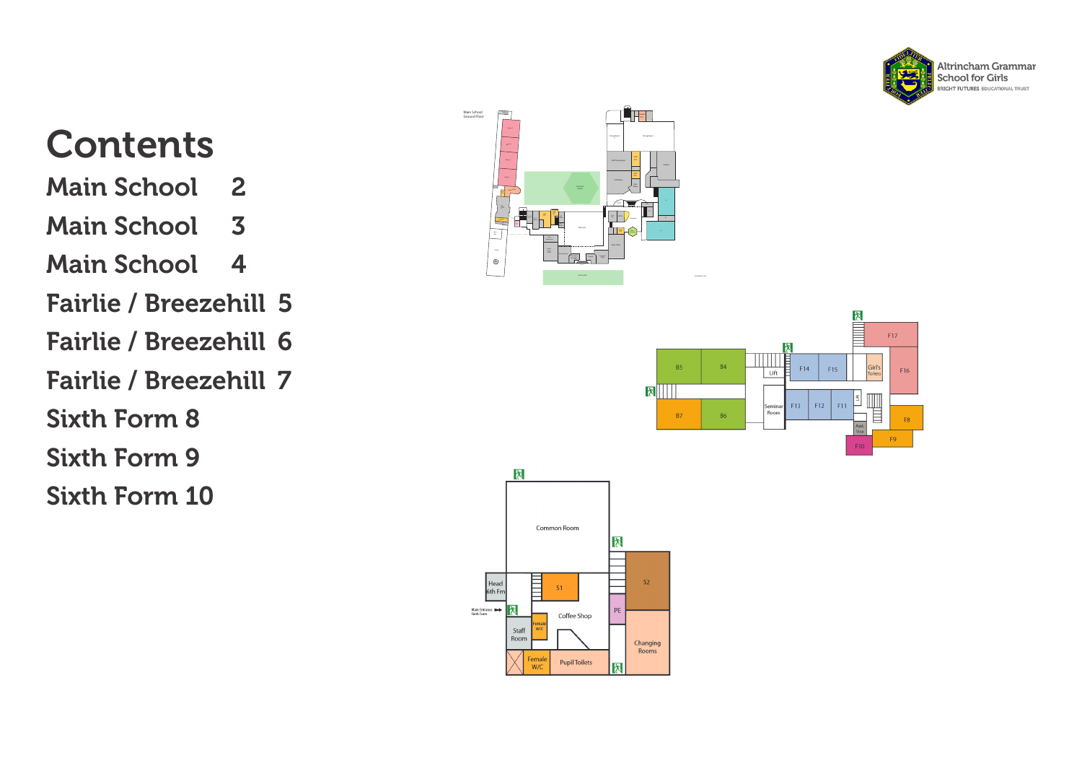

#### **Contents**

- [Main School](#page-1-0) 2
- [Main School](#page-2-0) 3
- [Main School](#page-3-0) 4
- [Fairlie / Breezehill](#page-4-0) 5
- [Fairlie / Breezehill](#page-5-0) 6
- [Fairlie / Breezehill](#page-6-0) 7
- [Sixth Form](#page-7-0) 8
- [Sixth Form](#page-8-0) 9
- [Sixth Form](#page-9-0) 10





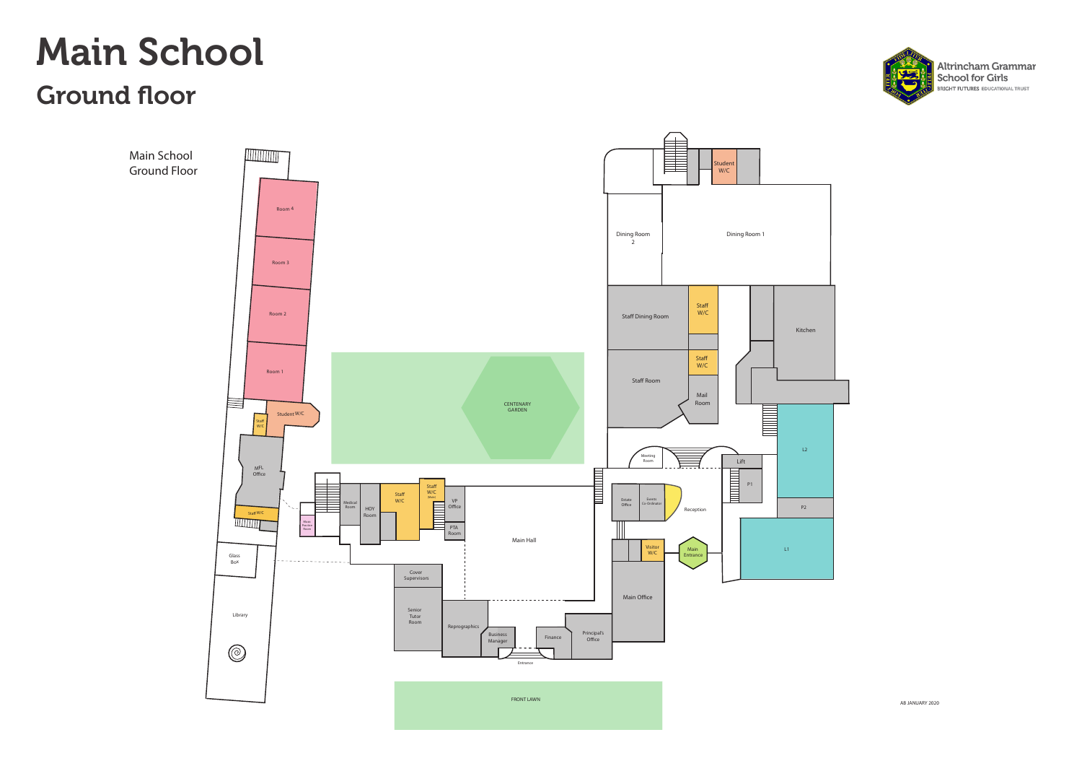#### <span id="page-1-0"></span>Main School Ground floor



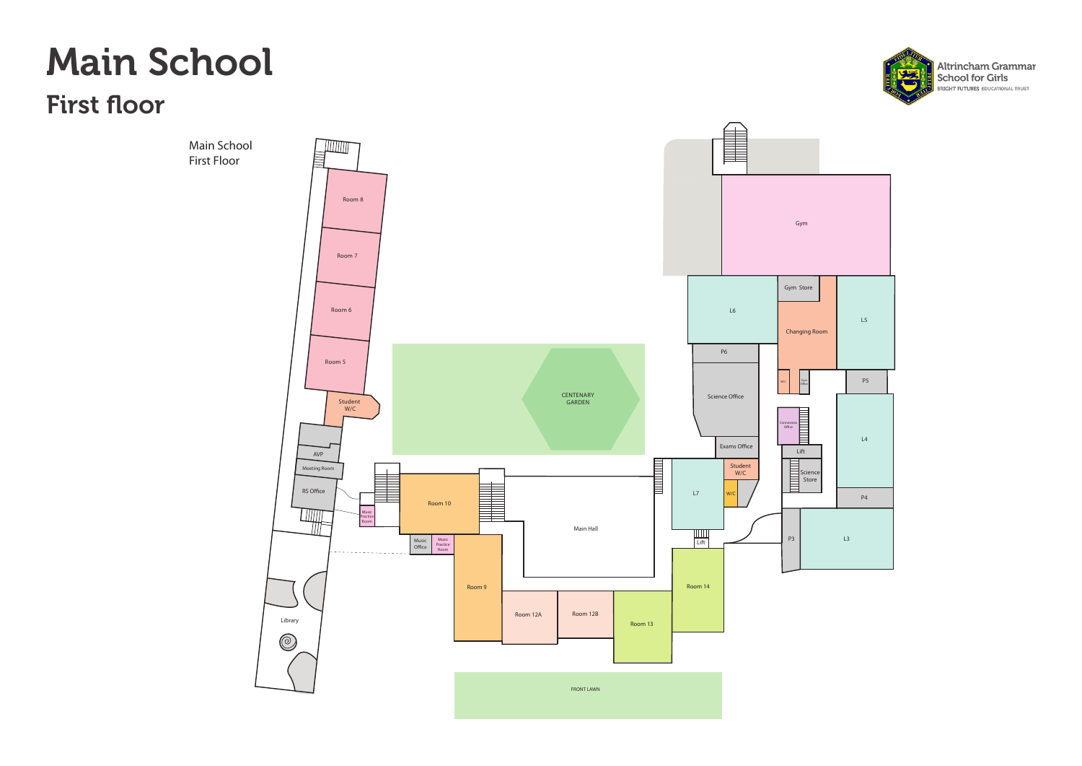#### <span id="page-2-0"></span>Main School

First floor



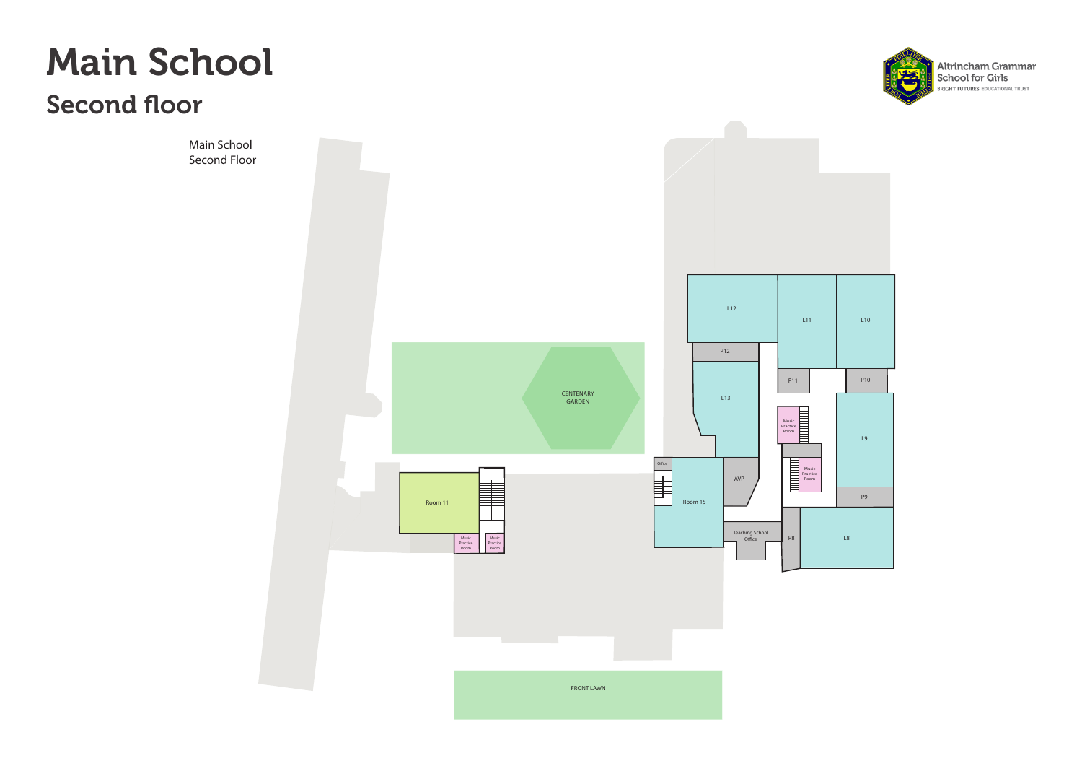<span id="page-3-0"></span>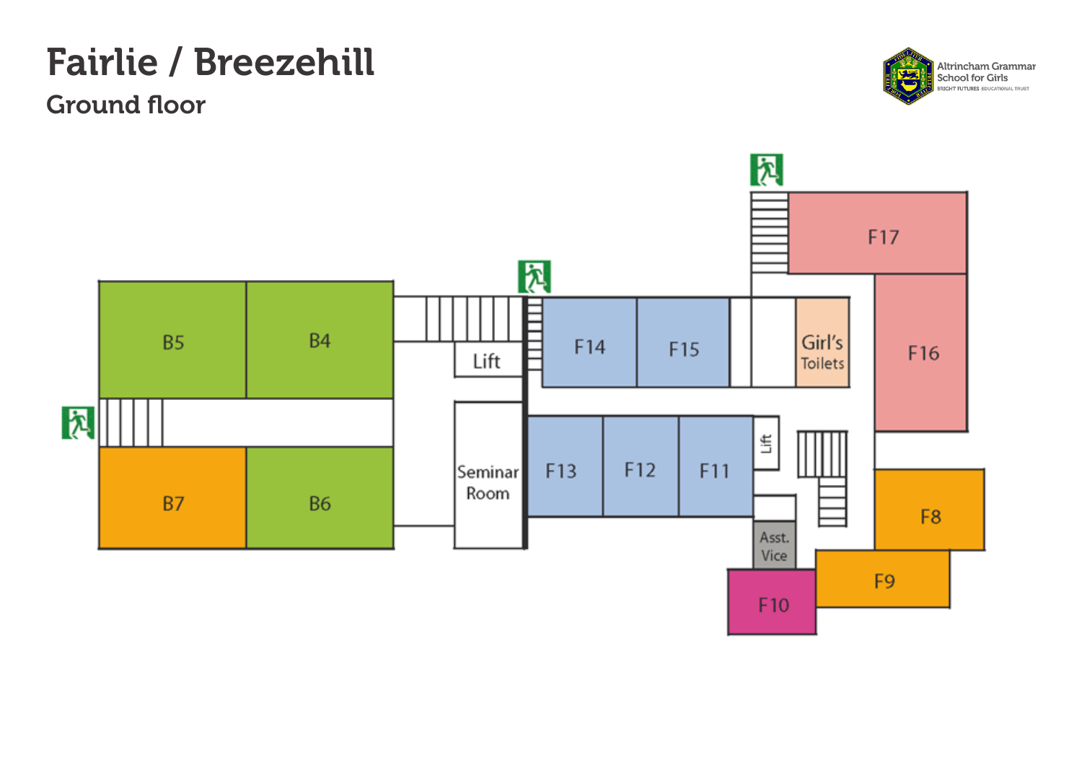# <span id="page-4-0"></span>Fairlie / Breezehill

Ground floor



Altrincham Grammar<br>School for Girls ۰, **RRIGHT FUTURES EDUCATIONAL TRUST**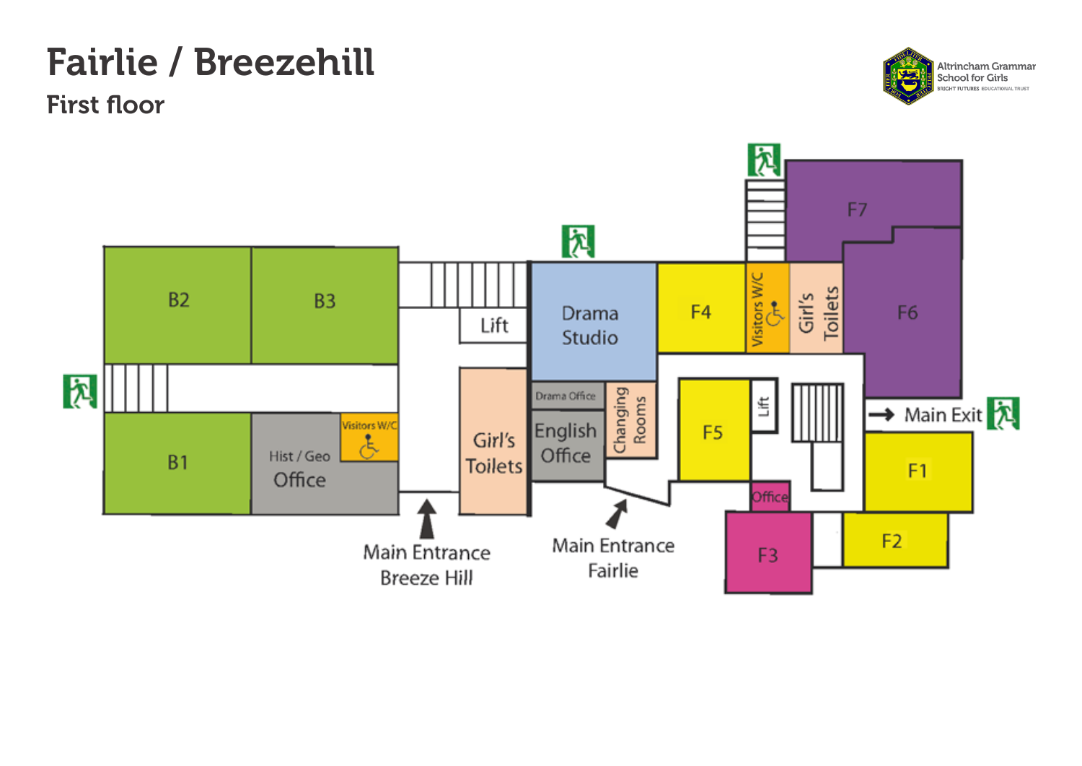# <span id="page-5-0"></span>Fairlie / Breezehill

First floor



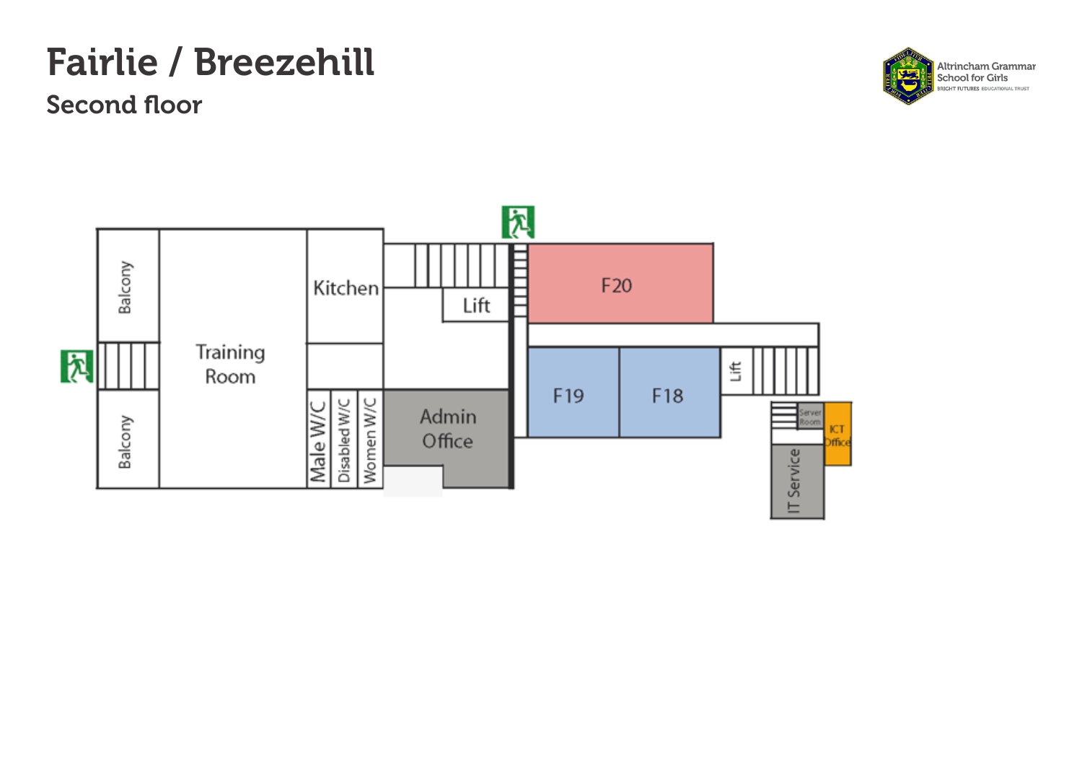# <span id="page-6-0"></span>Fairlie / Breezehill

Second floor



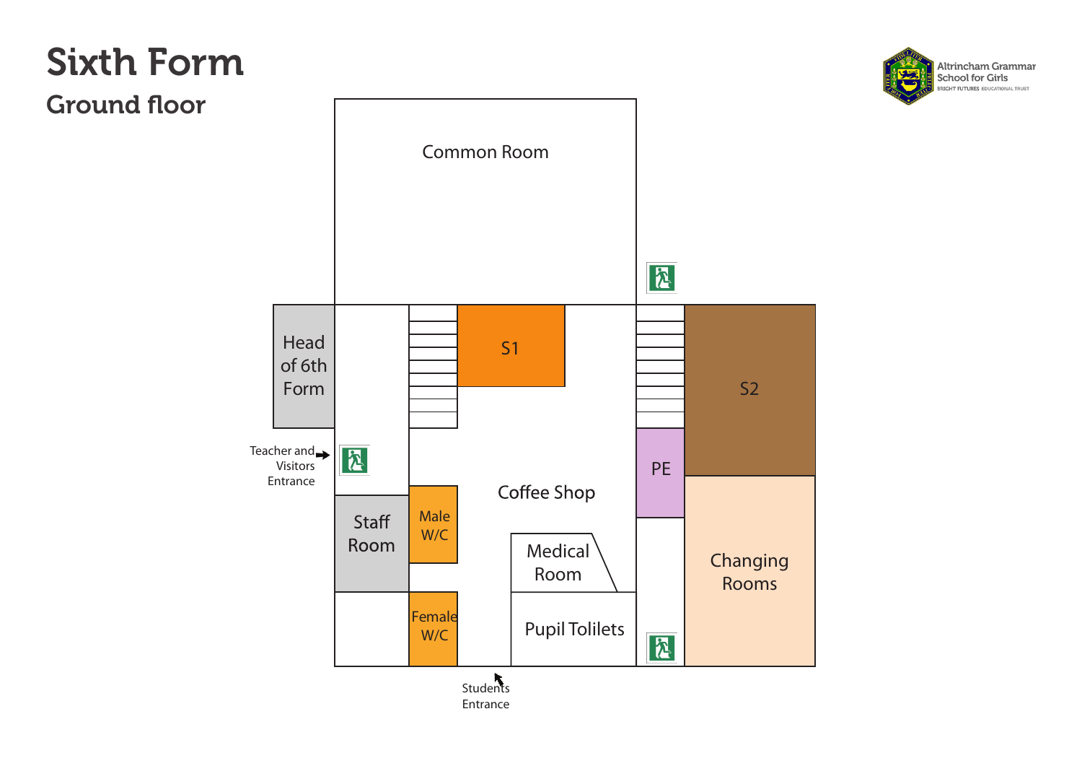<span id="page-7-0"></span>Ground floor

Altrincham Grammar School for Girls **BRIGHT FUTURES EDUCATIONAL TRUST** 



Entrance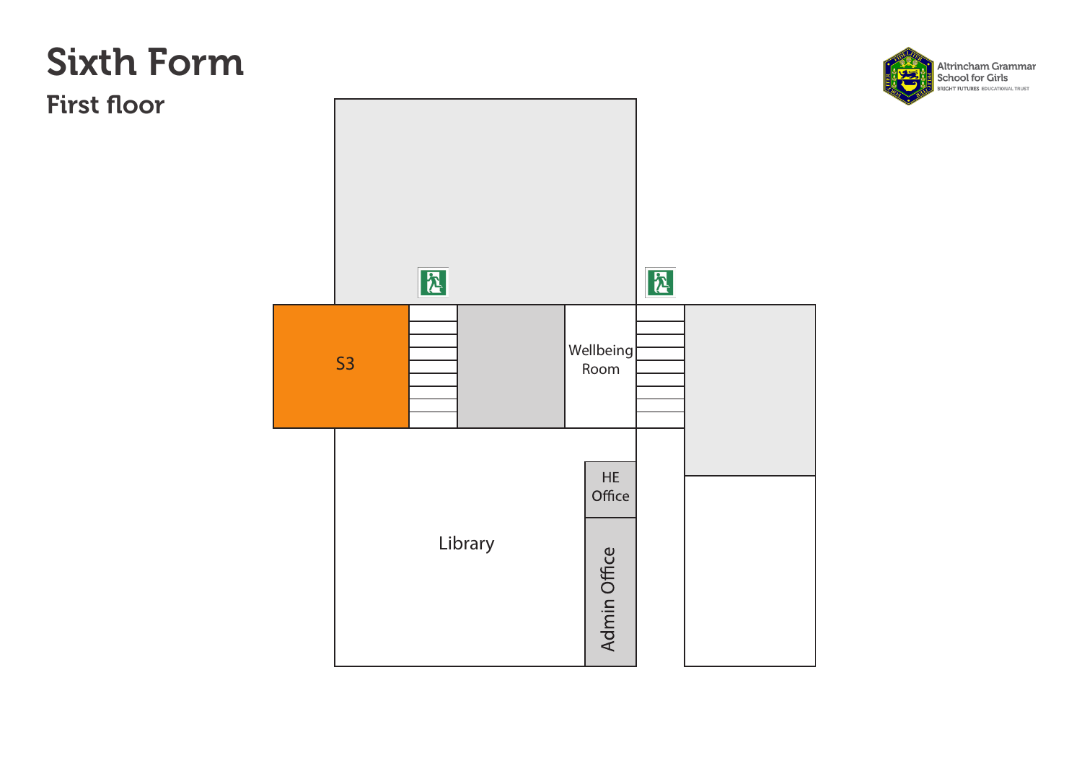<span id="page-8-0"></span>First floor



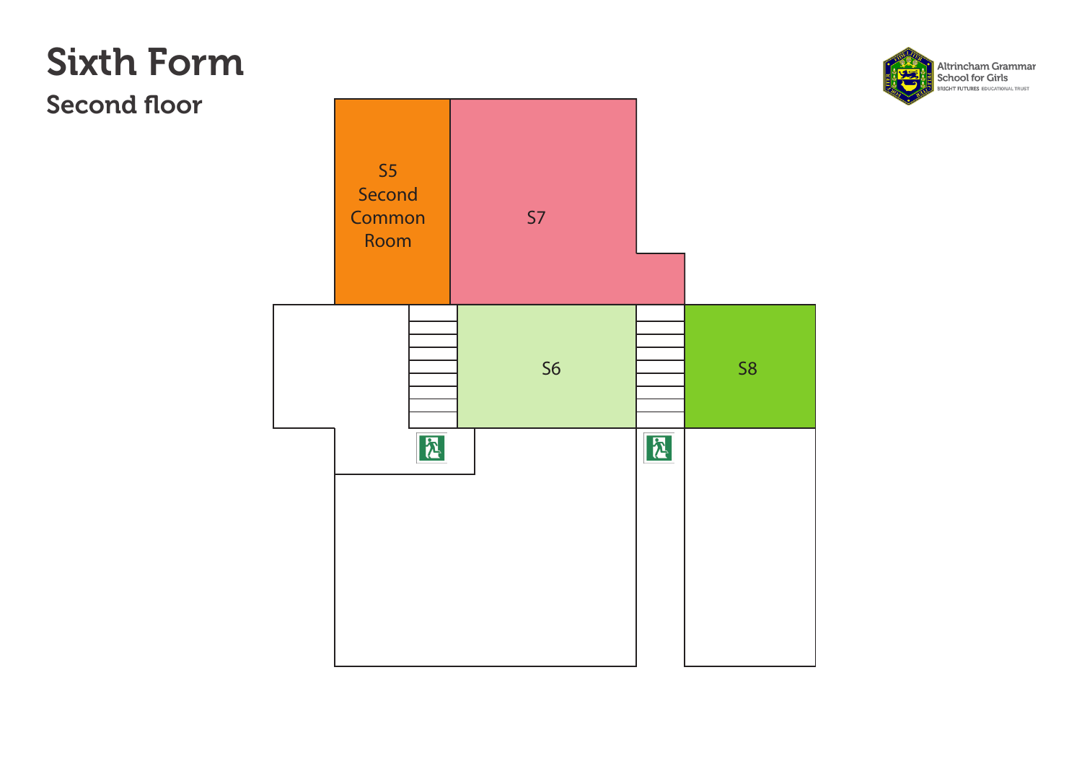<span id="page-9-0"></span>Second floor